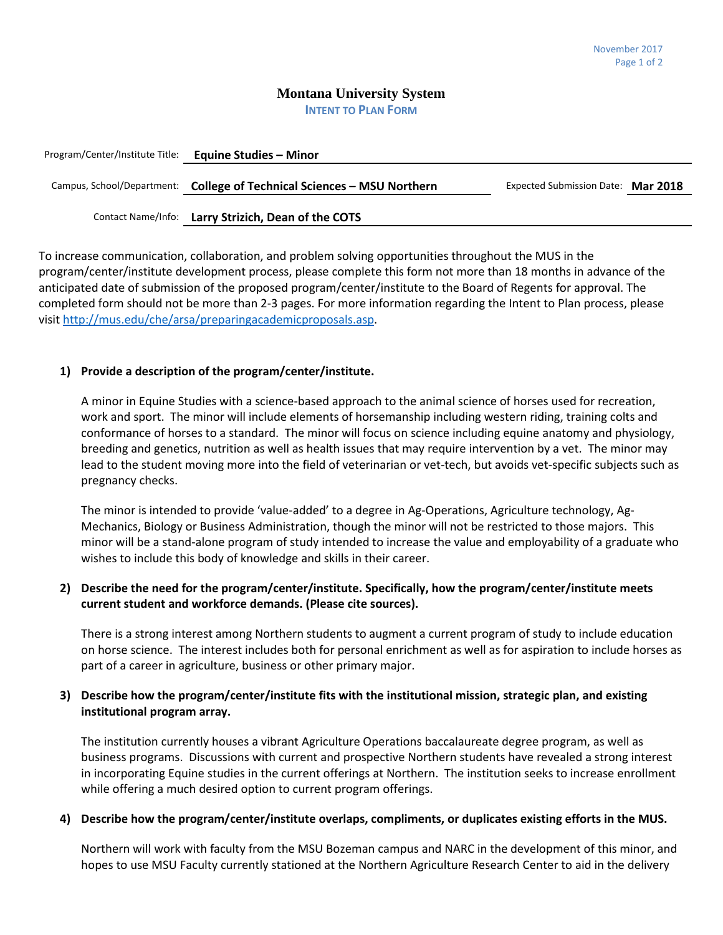### **Montana University System INTENT TO PLAN FORM**

| Program/Center/Institute Title: Equine Studies - Minor |                                                                         |                                    |  |
|--------------------------------------------------------|-------------------------------------------------------------------------|------------------------------------|--|
|                                                        | Campus, School/Department: College of Technical Sciences – MSU Northern | Expected Submission Date: Mar 2018 |  |
|                                                        | Contact Name/Info: Larry Strizich, Dean of the COTS                     |                                    |  |

To increase communication, collaboration, and problem solving opportunities throughout the MUS in the program/center/institute development process, please complete this form not more than 18 months in advance of the anticipated date of submission of the proposed program/center/institute to the Board of Regents for approval. The completed form should not be more than 2-3 pages. For more information regarding the Intent to Plan process, please visit [http://mus.edu/che/arsa/preparingacademicproposals.asp.](http://mus.edu/che/arsa/preparingacademicproposals.asp)

## **1) Provide a description of the program/center/institute.**

A minor in Equine Studies with a science-based approach to the animal science of horses used for recreation, work and sport. The minor will include elements of horsemanship including western riding, training colts and conformance of horses to a standard. The minor will focus on science including equine anatomy and physiology, breeding and genetics, nutrition as well as health issues that may require intervention by a vet. The minor may lead to the student moving more into the field of veterinarian or vet-tech, but avoids vet-specific subjects such as pregnancy checks.

The minor is intended to provide 'value-added' to a degree in Ag-Operations, Agriculture technology, Ag-Mechanics, Biology or Business Administration, though the minor will not be restricted to those majors. This minor will be a stand-alone program of study intended to increase the value and employability of a graduate who wishes to include this body of knowledge and skills in their career.

## **2) Describe the need for the program/center/institute. Specifically, how the program/center/institute meets current student and workforce demands. (Please cite sources).**

There is a strong interest among Northern students to augment a current program of study to include education on horse science. The interest includes both for personal enrichment as well as for aspiration to include horses as part of a career in agriculture, business or other primary major.

# **3) Describe how the program/center/institute fits with the institutional mission, strategic plan, and existing institutional program array.**

The institution currently houses a vibrant Agriculture Operations baccalaureate degree program, as well as business programs. Discussions with current and prospective Northern students have revealed a strong interest in incorporating Equine studies in the current offerings at Northern. The institution seeks to increase enrollment while offering a much desired option to current program offerings.

#### **4) Describe how the program/center/institute overlaps, compliments, or duplicates existing efforts in the MUS.**

Northern will work with faculty from the MSU Bozeman campus and NARC in the development of this minor, and hopes to use MSU Faculty currently stationed at the Northern Agriculture Research Center to aid in the delivery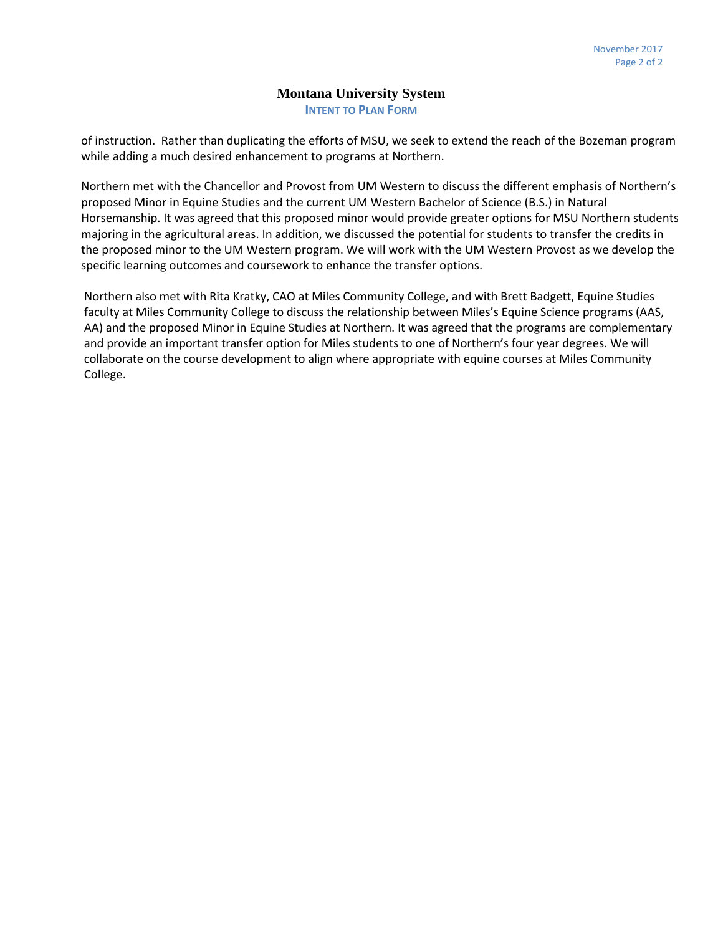## **Montana University System INTENT TO PLAN FORM**

of instruction. Rather than duplicating the efforts of MSU, we seek to extend the reach of the Bozeman program while adding a much desired enhancement to programs at Northern.

Northern met with the Chancellor and Provost from UM Western to discuss the different emphasis of Northern's proposed Minor in Equine Studies and the current UM Western Bachelor of Science (B.S.) in Natural Horsemanship. It was agreed that this proposed minor would provide greater options for MSU Northern students majoring in the agricultural areas. In addition, we discussed the potential for students to transfer the credits in the proposed minor to the UM Western program. We will work with the UM Western Provost as we develop the specific learning outcomes and coursework to enhance the transfer options.

Northern also met with Rita Kratky, CAO at Miles Community College, and with Brett Badgett, Equine Studies faculty at Miles Community College to discuss the relationship between Miles's Equine Science programs (AAS, AA) and the proposed Minor in Equine Studies at Northern. It was agreed that the programs are complementary and provide an important transfer option for Miles students to one of Northern's four year degrees. We will collaborate on the course development to align where appropriate with equine courses at Miles Community College.